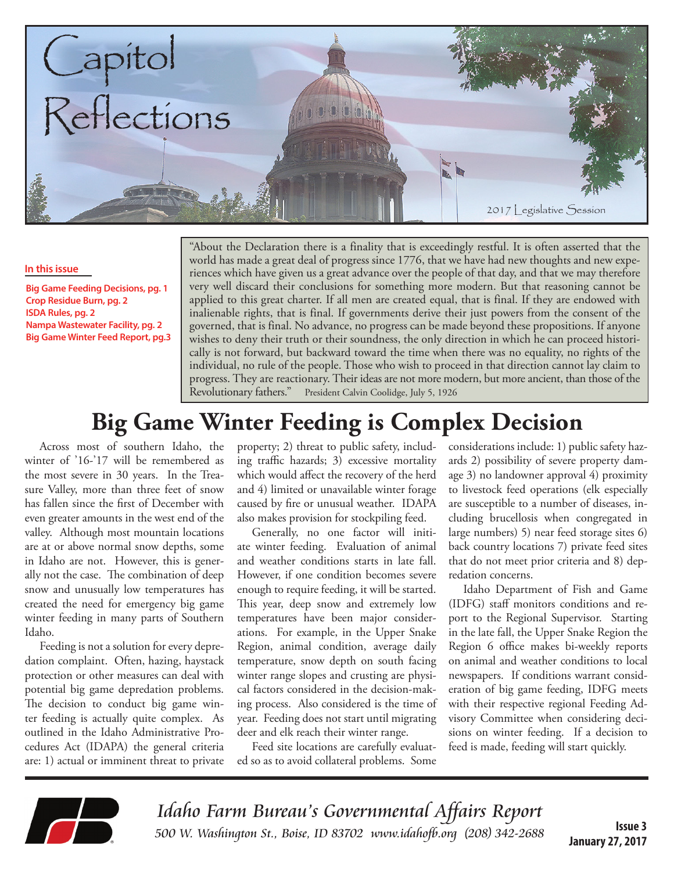

#### **In this issue**

**Big Game Feeding Decisions, pg. 1 Crop Residue Burn, pg. 2 ISDA Rules, pg. 2 Nampa Wastewater Facility, pg. 2 Big Game Winter Feed Report, pg.3** "About the Declaration there is a finality that is exceedingly restful. It is often asserted that the world has made a great deal of progress since 1776, that we have had new thoughts and new experiences which have given us a great advance over the people of that day, and that we may therefore very well discard their conclusions for something more modern. But that reasoning cannot be applied to this great charter. If all men are created equal, that is final. If they are endowed with inalienable rights, that is final. If governments derive their just powers from the consent of the governed, that is final. No advance, no progress can be made beyond these propositions. If anyone wishes to deny their truth or their soundness, the only direction in which he can proceed historically is not forward, but backward toward the time when there was no equality, no rights of the individual, no rule of the people. Those who wish to proceed in that direction cannot lay claim to progress. They are reactionary. Their ideas are not more modern, but more ancient, than those of the Revolutionary fathers." President Calvin Coolidge, July 5, 1926

## **Big Game Winter Feeding is Complex Decision**

Across most of southern Idaho, the winter of '16-'17 will be remembered as the most severe in 30 years. In the Treasure Valley, more than three feet of snow has fallen since the first of December with even greater amounts in the west end of the valley. Although most mountain locations are at or above normal snow depths, some in Idaho are not. However, this is generally not the case. The combination of deep snow and unusually low temperatures has created the need for emergency big game winter feeding in many parts of Southern Idaho.

Feeding is not a solution for every depredation complaint. Often, hazing, haystack protection or other measures can deal with potential big game depredation problems. The decision to conduct big game winter feeding is actually quite complex. As outlined in the Idaho Administrative Procedures Act (IDAPA) the general criteria are: 1) actual or imminent threat to private

property; 2) threat to public safety, including traffic hazards; 3) excessive mortality which would affect the recovery of the herd and 4) limited or unavailable winter forage caused by fire or unusual weather. IDAPA also makes provision for stockpiling feed.

Generally, no one factor will initiate winter feeding. Evaluation of animal and weather conditions starts in late fall. However, if one condition becomes severe enough to require feeding, it will be started. This year, deep snow and extremely low temperatures have been major considerations. For example, in the Upper Snake Region, animal condition, average daily temperature, snow depth on south facing winter range slopes and crusting are physical factors considered in the decision-making process. Also considered is the time of year. Feeding does not start until migrating deer and elk reach their winter range.

Feed site locations are carefully evaluated so as to avoid collateral problems. Some

considerations include: 1) public safety hazards 2) possibility of severe property damage 3) no landowner approval 4) proximity to livestock feed operations (elk especially are susceptible to a number of diseases, including brucellosis when congregated in large numbers) 5) near feed storage sites 6) back country locations 7) private feed sites that do not meet prior criteria and 8) depredation concerns.

Idaho Department of Fish and Game (IDFG) staff monitors conditions and report to the Regional Supervisor. Starting in the late fall, the Upper Snake Region the Region 6 office makes bi-weekly reports on animal and weather conditions to local newspapers. If conditions warrant consideration of big game feeding, IDFG meets with their respective regional Feeding Advisory Committee when considering decisions on winter feeding. If a decision to feed is made, feeding will start quickly.



Idaho Farm Bureau's Governmental Affairs Report 500 W. Washington St., Boise, ID 83702 [www.idahofb.org \(2](http://www.idahofb.org)08) 342-2688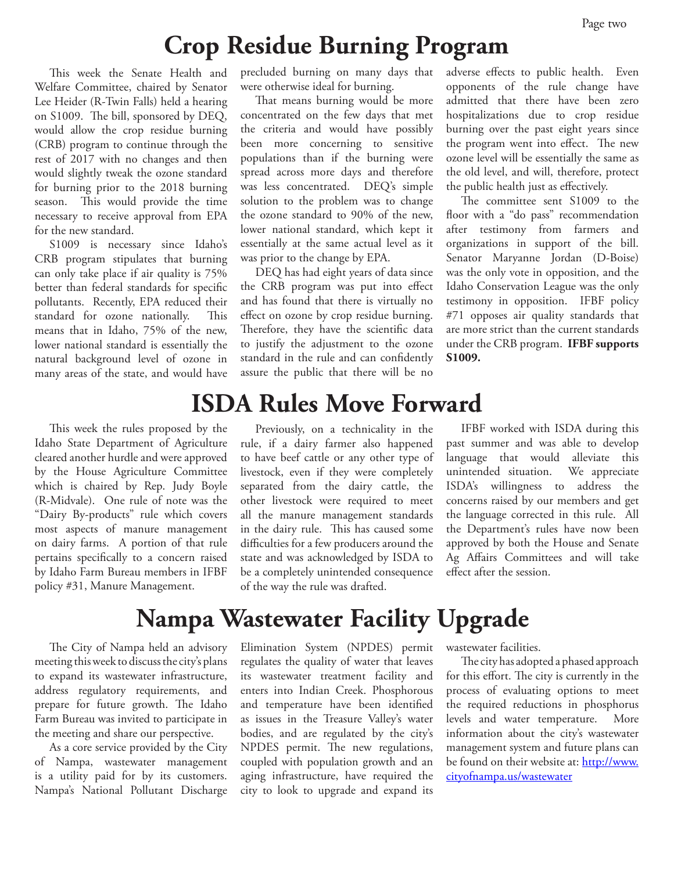## **Crop Residue Burning Program**

This week the Senate Health and Welfare Committee, chaired by Senator Lee Heider (R-Twin Falls) held a hearing on S1009. The bill, sponsored by DEQ, would allow the crop residue burning (CRB) program to continue through the rest of 2017 with no changes and then would slightly tweak the ozone standard for burning prior to the 2018 burning season. This would provide the time necessary to receive approval from EPA for the new standard.

S1009 is necessary since Idaho's CRB program stipulates that burning can only take place if air quality is 75% better than federal standards for specific pollutants. Recently, EPA reduced their standard for ozone nationally. This means that in Idaho, 75% of the new, lower national standard is essentially the natural background level of ozone in many areas of the state, and would have

This week the rules proposed by the Idaho State Department of Agriculture cleared another hurdle and were approved by the House Agriculture Committee which is chaired by Rep. Judy Boyle (R-Midvale). One rule of note was the "Dairy By-products" rule which covers most aspects of manure management on dairy farms. A portion of that rule pertains specifically to a concern raised by Idaho Farm Bureau members in IFBF policy #31, Manure Management.

precluded burning on many days that were otherwise ideal for burning.

That means burning would be more concentrated on the few days that met the criteria and would have possibly been more concerning to sensitive populations than if the burning were spread across more days and therefore was less concentrated. DEQ's simple solution to the problem was to change the ozone standard to 90% of the new, lower national standard, which kept it essentially at the same actual level as it was prior to the change by EPA.

DEQ has had eight years of data since the CRB program was put into effect and has found that there is virtually no effect on ozone by crop residue burning. Therefore, they have the scientific data to justify the adjustment to the ozone standard in the rule and can confidently assure the public that there will be no

adverse effects to public health. Even opponents of the rule change have admitted that there have been zero hospitalizations due to crop residue burning over the past eight years since the program went into effect. The new ozone level will be essentially the same as the old level, and will, therefore, protect the public health just as effectively.

The committee sent S1009 to the floor with a "do pass" recommendation after testimony from farmers and organizations in support of the bill. Senator Maryanne Jordan (D-Boise) was the only vote in opposition, and the Idaho Conservation League was the only testimony in opposition. IFBF policy #71 opposes air quality standards that are more strict than the current standards under the CRB program. **IFBF supports S1009.**

### **ISDA Rules Move Forward**

Previously, on a technicality in the rule, if a dairy farmer also happened to have beef cattle or any other type of livestock, even if they were completely separated from the dairy cattle, the other livestock were required to meet all the manure management standards in the dairy rule. This has caused some difficulties for a few producers around the state and was acknowledged by ISDA to be a completely unintended consequence of the way the rule was drafted.

IFBF worked with ISDA during this past summer and was able to develop language that would alleviate this unintended situation. We appreciate ISDA's willingness to address the concerns raised by our members and get the language corrected in this rule. All the Department's rules have now been approved by both the House and Senate Ag Affairs Committees and will take effect after the session.

# **Nampa Wastewater Facility Upgrade**

The City of Nampa held an advisory meeting this week to discuss the city's plans to expand its wastewater infrastructure, address regulatory requirements, and prepare for future growth. The Idaho Farm Bureau was invited to participate in the meeting and share our perspective.

As a core service provided by the City of Nampa, wastewater management is a utility paid for by its customers. Nampa's National Pollutant Discharge

Elimination System (NPDES) permit regulates the quality of water that leaves its wastewater treatment facility and enters into Indian Creek. Phosphorous and temperature have been identified as issues in the Treasure Valley's water bodies, and are regulated by the city's NPDES permit. The new regulations, coupled with population growth and an aging infrastructure, have required the city to look to upgrade and expand its

wastewater facilities.

The city has adopted a phased approach for this effort. The city is currently in the process of evaluating options to meet the required reductions in phosphorus levels and water temperature. More information about the city's wastewater management system and future plans can be found on their website at: [http://www.](http://www.cityofnampa.us/wastewater) [cityofnampa.us/wastewater](http://www.cityofnampa.us/wastewater)